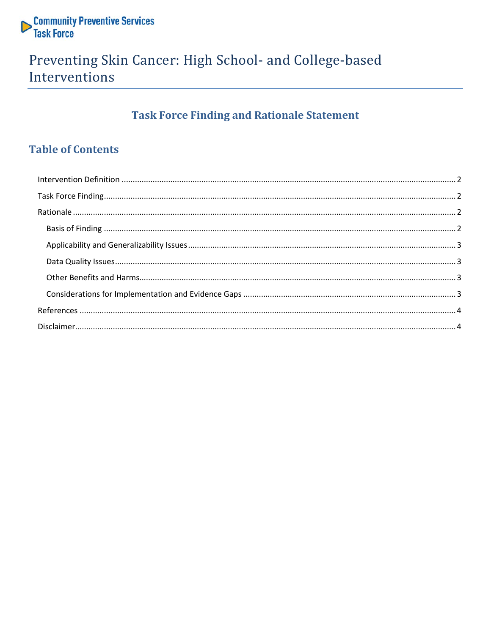

## Preventing Skin Cancer: High School- and College-based Interventions

## **Task Force Finding and Rationale Statement**

## **Table of Contents**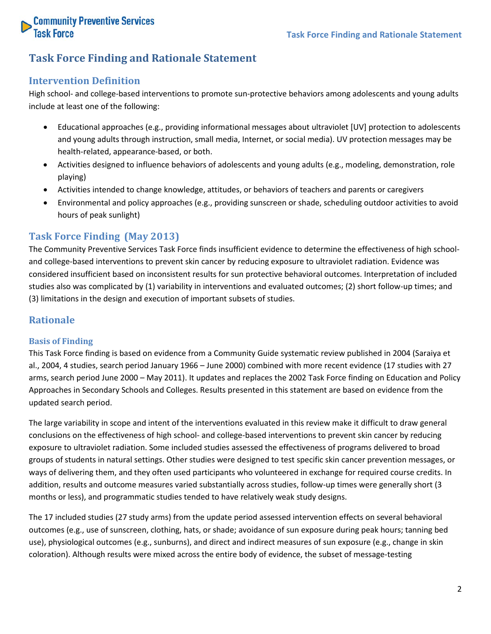

### **Task Force Finding and Rationale Statement**

### <span id="page-1-0"></span>**Intervention Definition**

High school- and college-based interventions to promote sun-protective behaviors among adolescents and young adults include at least one of the following:

- Educational approaches (e.g., providing informational messages about ultraviolet [UV] protection to adolescents and young adults through instruction, small media, Internet, or social media). UV protection messages may be health-related, appearance-based, or both.
- Activities designed to influence behaviors of adolescents and young adults (e.g., modeling, demonstration, role playing)
- Activities intended to change knowledge, attitudes, or behaviors of teachers and parents or caregivers
- Environmental and policy approaches (e.g., providing sunscreen or shade, scheduling outdoor activities to avoid hours of peak sunlight)

### <span id="page-1-1"></span>**Task Force Finding (May 2013)**

The Community Preventive Services Task Force finds insufficient evidence to determine the effectiveness of high schooland college-based interventions to prevent skin cancer by reducing exposure to ultraviolet radiation. Evidence was considered insufficient based on inconsistent results for sun protective behavioral outcomes. Interpretation of included studies also was complicated by (1) variability in interventions and evaluated outcomes; (2) short follow-up times; and (3) limitations in the design and execution of important subsets of studies.

### <span id="page-1-2"></span>**Rationale**

### <span id="page-1-3"></span>**Basis of Finding**

This Task Force finding is based on evidence from a Community Guide systematic review published in 2004 (Saraiya et al., 2004, 4 studies, search period January 1966 – June 2000) combined with more recent evidence (17 studies with 27 arms, search period June 2000 – May 2011). It updates and replaces the 2002 Task Force finding on Education and Policy Approaches in Secondary Schools and Colleges. Results presented in this statement are based on evidence from the updated search period.

The large variability in scope and intent of the interventions evaluated in this review make it difficult to draw general conclusions on the effectiveness of high school- and college-based interventions to prevent skin cancer by reducing exposure to ultraviolet radiation. Some included studies assessed the effectiveness of programs delivered to broad groups of students in natural settings. Other studies were designed to test specific skin cancer prevention messages, or ways of delivering them, and they often used participants who volunteered in exchange for required course credits. In addition, results and outcome measures varied substantially across studies, follow-up times were generally short (3 months or less), and programmatic studies tended to have relatively weak study designs.

The 17 included studies (27 study arms) from the update period assessed intervention effects on several behavioral outcomes (e.g., use of sunscreen, clothing, hats, or shade; avoidance of sun exposure during peak hours; tanning bed use), physiological outcomes (e.g., sunburns), and direct and indirect measures of sun exposure (e.g., change in skin coloration). Although results were mixed across the entire body of evidence, the subset of message-testing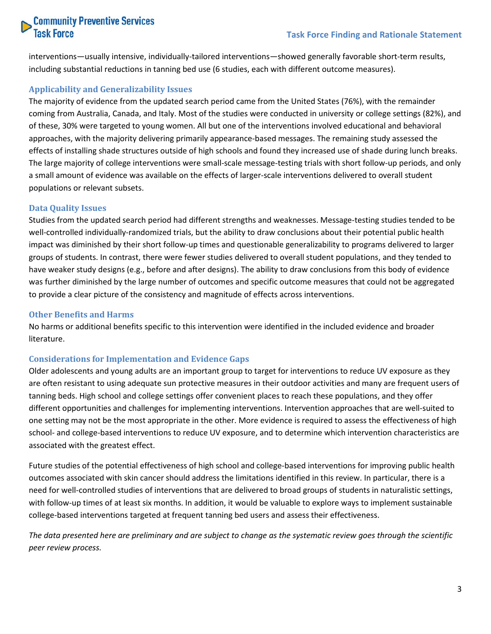# **Community Preventive Services**<br>Task Force

interventions—usually intensive, individually-tailored interventions—showed generally favorable short-term results, including substantial reductions in tanning bed use (6 studies, each with different outcome measures).

### <span id="page-2-0"></span>**Applicability and Generalizability Issues**

The majority of evidence from the updated search period came from the United States (76%), with the remainder coming from Australia, Canada, and Italy. Most of the studies were conducted in university or college settings (82%), and of these, 30% were targeted to young women. All but one of the interventions involved educational and behavioral approaches, with the majority delivering primarily appearance-based messages. The remaining study assessed the effects of installing shade structures outside of high schools and found they increased use of shade during lunch breaks. The large majority of college interventions were small-scale message-testing trials with short follow-up periods, and only a small amount of evidence was available on the effects of larger-scale interventions delivered to overall student populations or relevant subsets.

### <span id="page-2-1"></span>**Data Quality Issues**

Studies from the updated search period had different strengths and weaknesses. Message-testing studies tended to be well-controlled individually-randomized trials, but the ability to draw conclusions about their potential public health impact was diminished by their short follow-up times and questionable generalizability to programs delivered to larger groups of students. In contrast, there were fewer studies delivered to overall student populations, and they tended to have weaker study designs (e.g., before and after designs). The ability to draw conclusions from this body of evidence was further diminished by the large number of outcomes and specific outcome measures that could not be aggregated to provide a clear picture of the consistency and magnitude of effects across interventions.

### <span id="page-2-2"></span>**Other Benefits and Harms**

No harms or additional benefits specific to this intervention were identified in the included evidence and broader literature.

### <span id="page-2-3"></span>**Considerations for Implementation and Evidence Gaps**

Older adolescents and young adults are an important group to target for interventions to reduce UV exposure as they are often resistant to using adequate sun protective measures in their outdoor activities and many are frequent users of tanning beds. High school and college settings offer convenient places to reach these populations, and they offer different opportunities and challenges for implementing interventions. Intervention approaches that are well-suited to one setting may not be the most appropriate in the other. More evidence is required to assess the effectiveness of high school- and college-based interventions to reduce UV exposure, and to determine which intervention characteristics are associated with the greatest effect.

Future studies of the potential effectiveness of high school and college-based interventions for improving public health outcomes associated with skin cancer should address the limitations identified in this review. In particular, there is a need for well-controlled studies of interventions that are delivered to broad groups of students in naturalistic settings, with follow-up times of at least six months. In addition, it would be valuable to explore ways to implement sustainable college-based interventions targeted at frequent tanning bed users and assess their effectiveness.

*The data presented here are preliminary and are subject to change as the systematic review goes through the scientific peer review process.*